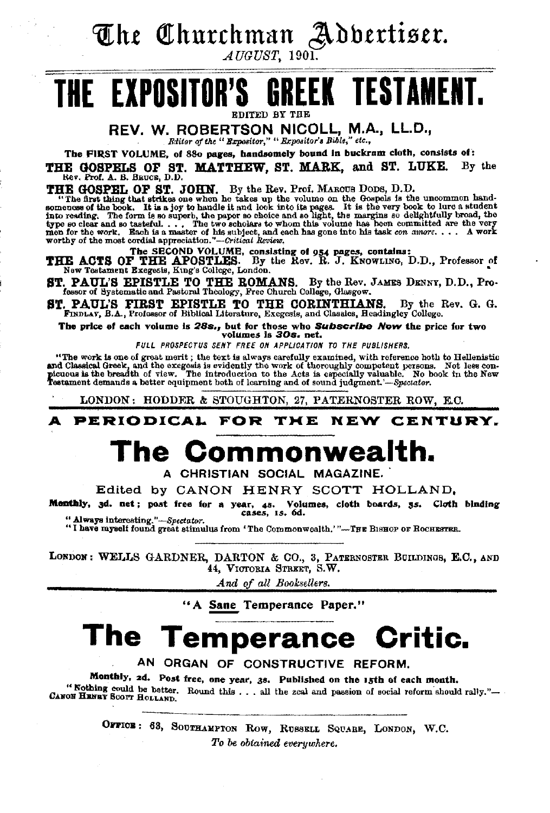The Churchman Adbertiser.

 $\boldsymbol{\mathcal{A}}$ UGUST, 1901.

### **GREEK TESTAMENT.** THE EXPOSITOR'S entren av the

REV. W. ROBERTSON NICOLL, M.A., LL.D.,

Editor of the " Expositor," " Expositor's Bible," etc.,

The FIRST VOLUME, of 880 pages, handsomely bound in buckram cloth, consists of:

THE GOSPELS OF ST. MATTHEW, ST. MARK, and ST. LUKE. Rev. Prof. A. B. Baucs, D.D. By the

THE GOSPEL OF ST. JOHN. By the Rev. Prof. MAROUS DODS, D.D.<br>"The first thing that styles one when he takes up the volume on the Gospols is the uncommon hand-<br>"The first thing that styles one when he takes up the volume on

THE ACTS OF THE APOSTLES. By the Rev. R. J. KNOWLING, D.D., Professor of New Testament Exegesis, King's College, London.

ST. PAUL'S EPISTLE TO THE ROMANS. By the Rev. JAMES DENNY, D.D., Professor of Systematic and Pastoral Theology, Free Church College, Glasgow.

ST. PAUL'S FIRST EPISTLE TO THE CORINTHIANS. By the Rev. G. G. FINDLAY, B.A., Professor of Biblical Literature, Exegesis, and Classics, Headingley College.

The price of each volume is 28s., but for those who Subscribe Now the price for two volumes is 30s. net.

FULL PROSPECTUS SENT FREE ON APPLICATION TO THE PUBLISHERS.

"The work is one of great merit; the text is always carefully examined, with reference hoth to Hellenistic and Classical Greek, and the excepsis is evidently the work of thoroughly competent persons. Not less con-<br>picuous is the breadth of view. The introduction to the Acts is especially valuable. No book in the New<br>Testament d

LONDON: HODDER & STOUGHTON, 27, PATERNOSTER ROW, E.C.

**PERIODICAL** FOR THE NEW CENTURY.

# The Commonwealth.

A CHRISTIAN SOCIAL MAGAZINE.

Edited by CANON HENRY SCOTT HOLLAND.

Monthly, 3d. net; post free for a year, 4s. Volumes, cloth boards, 3s. Cloth blading cases, 1s. 6d. " Always interesting."-Spectator.

"I have myself found great stimulus from 'The Commonwealth.'"-THE BISHOP OF ROCHESTER.

LONDON: WELLS GARDNER, DARTON & CO., 3, PATERNOSTER BUILDINGS, E.C., AND 44, VICTOBIA STREET, S.W.

And of all Booksellers.

"A Sane Temperance Paper."

# The Temperance Critic.

AN ORGAN OF CONSTRUCTIVE REFORM.

Monthly, 2d. Post free, one year, 3s. Published on the 15th of each month. "Nothing could be better. Round this . . . all the zeal and passion of social reform should rally."-CANON HENRY SCOTT HOLLAND.

> OFFICE: 63, SOUTHAMPTON ROW, RUSSELL SQUARE, LONDON, W.C. To be obtained everywhere.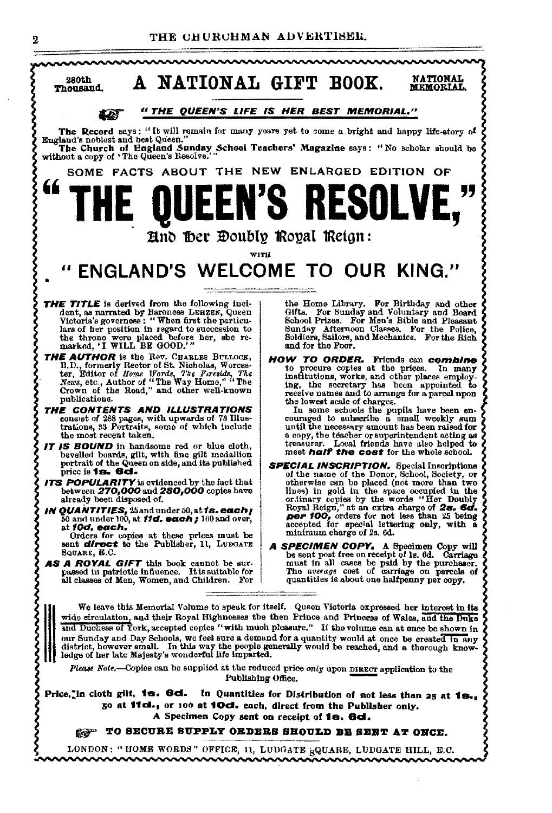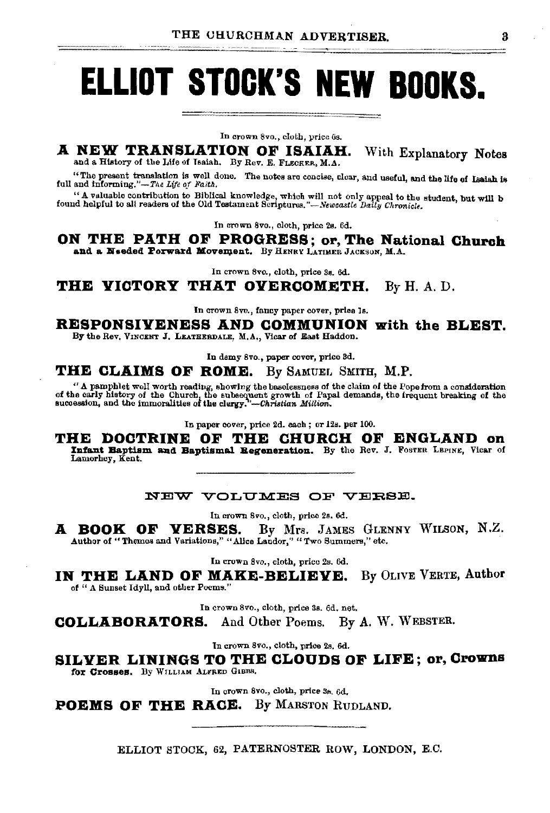# **ELLIOT STOCK'S NEW BOOKS.**

In crown 8vo., cloth, price 6s.

A NEW TRANSLATION OF ISAIAH. With Explanatory Notes and a History of the Life of Isaiah. By Rev. E. FLECKER, M.A.

"The present translation is well done. The notes are concise, clear, and useful, and the life of Isaiah is full and informing."-The Life of Faith.

" A valuable contribution to Biblical knowledge, which will not only appeal to the student, but will b found helpful to all readers of the Old Testament Scriptures."—Newcastle Baily Chronicle.

In crown 8vo., cloth, price 2s. 6d.

ON THE PATH OF PROGRESS; or, The National Church and a Needed Porward Movement. By HENRY LATIMER JACKSON, M.A.

In crown 8vo., cloth, price 3s. 6d.

**THE VICTORY THAT OVERCOMETH.** By H.A.D.

In crown 8vo., fancy paper cover, price Is.

RESPONSIVENESS AND COMMUNION with the BLEST. By the Rev. VINCENT J. LEATHERDALE, M.A., Vicar of East Haddon.

In demy 8vo., paper cover, price 3d.

THE CLAIMS OF ROME. By SAMUEL SMITH, M.P.

" A pamphlet well worth reading, showing the baselessness of the claim of the Pope from a consideration of the carly history of the Church, the subsequent growth of Papal demands, the frequent breaking of the succession,

In paper cover, price 2d. each; or 12s. per 100.

THE DOCTRINE OF THE CHURCH OF ENGLAND on Infant Baptism and Baptismal Regeneration. By the Rev. J. Fosten LEPINE, Vicar of Lamorhey, Kent.

NEW VOLUMES OF VERSE.

In crown 8vo., cloth, price 2s. 6d.

By Mrs. JAMES GLENNY WILSON, N.Z. A BOOK OF VERSES. Author of "Themes and Variations," "Alice Landor," "Two Summers," etc.

In crown 8vo., cloth, price 2s. 6d.

IN THE LAND OF MAKE-BELIEVE. By OLIVE VERTE, Author of " A Sunset Idyll, and other Poems."

In crown 8vo., cloth, price 3s. 6d. net.

By A. W. WEBSTER. **COLLABORATORS.** And Other Poems.

In crown 8vo., cloth, price 2s. 6d.

SILVER LININGS TO THE CLOUDS OF LIFE; or, Crowns for Crosses. By WILLIAM ALFRED GIBBS.

In crown 8vo., cloth, price 3s. 6d.

**POEMS OF THE RACE.** By MARSTON RUDLAND.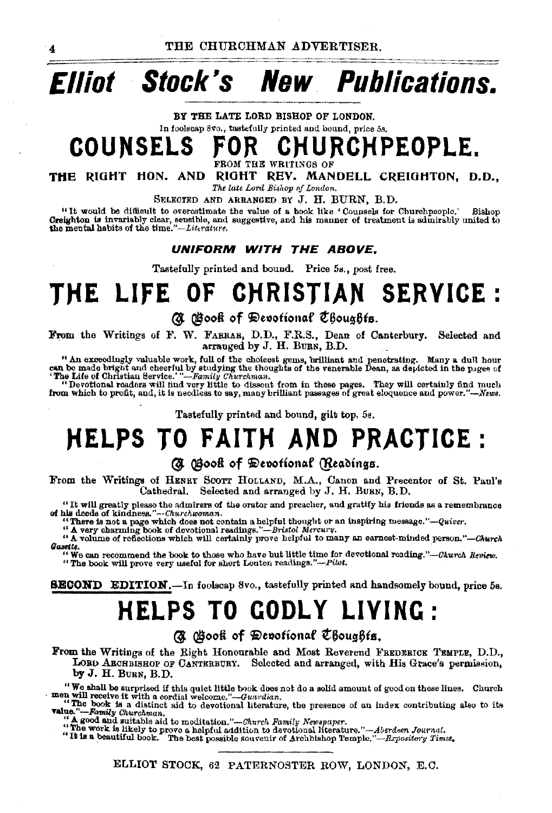# **Elliot Stock's New Publications.**

BY THE LATE LORD BISHOP OF LONDON.

In foolscap Svo., tastefully printed and bound, price 5s.

**COUNSELS FOR CHURCHPEOPLE.** 

FROM THE WRITINGS OF

**THE** RIOHT HON. AND RIOHT REV. MANDELL CREIGHTON, D.O., *The late Lora Bishop of London.* 

SELEOTED AND ARRANGED BY J. H. BURN, B.D.

"It would be difficult to overestimate the value of a book like 'Counsels for Church people.' .Bishop Creighton Is invariably clear, sensible, and suggestive, and his manner of treatment is admirably united to the mental habits of the *tlme."-Littrature.* 

**UNIFORM WITH THE ABOVE.** 

Tastefully printed and bound. Price 5s., post free.

# **THE LIFE OF CHRISTIAN SERVICE** ·

### @. @ooff **of** ~e1)otiona.f t~oug6ts.

From the Writings of F. W. FARRAR, D.D., F.R.S., Dean of Canterbury. Selected and arranged by J. H. BURN, B.D.

" An exceedingly valuable work, full of the choicest gems, brilliant and penetrating. Many a dull hour can be made bright and cheerful by studying the thoughts of the venerable Dean, as depicted in the pages of The Life o

from which to profit, and, it is needless to say, many brilliant passages of great eloquence and power."-News.

Tastefully printed and bound, gilt top. 5s.

# **HELPS TO FAITH AND PRACTICE:**

### (d) Osook of Devotional (Readings.

From the Writings of HENRY SCOTT HOLLAND, M.A., Canon and Precentor of St. Paul's Cathedral. Selected and arranged by J. H. BURN, B.D.

"It will greatly please the admirers of the orator and preacher, and gratify his friends as a remembrance of hia deeds of kindneBI!."-·Churchwoman.

nu decous or kindnessa. *--Unarchaman.*<br>
"There is not a page which does not contain a helpful thought or an inspiring message." --Quiver.<br>
"A very charming book of devotional readings."--Dristol Mercury.<br>
"A volume of ref

We can recommend the book to those who have but little time for devotional reading."--Church Review.<br>"The book will prove very useful for short Lenten readings."--Pilot.

**SECOND EDITION.**-In foolscap 8vo., tastefully printed and handsomely bound, price 5s.

# **HELPS TO GODLY LIVING:**

Q. Book of Devotional Choughts.

From the Writings of the Right Honourable and Most Reverend FREDERICK TEMPLE, D.D., LORD ABOHBISHOP OF CANTERBURY. Selected and arranged, with His Grace's permission, by J. H. BURN, B.D.

"We shall be surprised if this quiet little book does not do a solid amount of good on these lines. Church men will receive it with a cordial welcome."-Guardian.

The book is a distinct aid to devotional literature, the presence of an index contributing also to its **value."**-Family Churchman.

" **A good and suitable aid to meditation.**"—*Church Family Newspaper.*<br>"The work is likely to prove a helpful addition to devotional literature."—*Aberdsen Journal.*<br>"It is a beautiful book, `The best possible souvenir of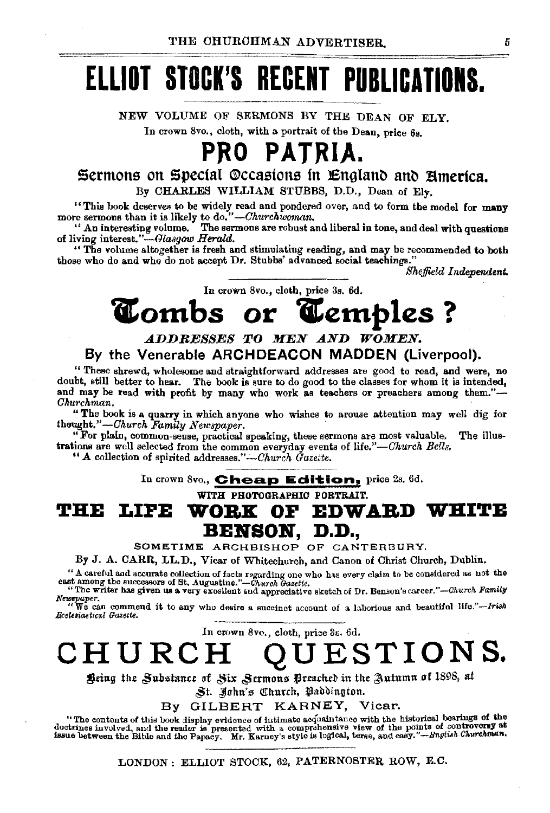# **ELLIOT STOCK'S RECENT PUBLICATIONS.**

NEW VOLUME OF SERMONS BY THE DEAN OF ELY. In crown 8vo., cloth, with a portrait of the Dean, price 6s.

# **PRO PATRIA.**

Sermons on Special ©ccasions in England and America. By CHARLES WILLIAM STUBBS, D.D., Dean of Ely.

"This book deserves to be widely read and pondered over, and to form the model for many more sermons than it is likely to do." *-Churchwoman.* 

" An interesting volume. The sermons are robust and liberal in tone, and deal with questions of living interest."-Glasgow Herald.

" The volume altogether is fresh and stimulating reading, and may be recommended to both those who do and who do not accept Dr. Stubbs' advanced social teachings."

*Sheffield Independent.* 

In crown 8vo., cloth, price 3s. 6d.

# *Combs or Cemples?*

### *.ADDRESSES TO MEN .AND WOMEN.*  By the Venerable ARCHDEACON **MADDEN** (Liverpool).

"These shrewd, wholesome and straightforward addresses are good to read, and were, no doubt, still better to hear. The book is sure to do good to the classes for whom it is intended, and may be read with profit by many who work as teachers or preachers among them."-*Ohurchman.* 

"The book is a quarry in which anyone who wishes to arouse attention may well dig for thought."-Ohurch *Family Newspaper.* 

"For plain, common-sense, practical speaking, these sermons are most valuable. The illustrations are well selected from the common everyday events of *life."-Ohurch Bells.* 

"A collection of spirited addresses."—Church  $\tilde{G}$ aze:te.

In crown Svo., **Cheap Edition**, price 2s. 6d.

WITH PHOTOGRAPHIC PORTRAIT.

# **THE LIFE WOBK OP EDWABD WHITE**  BENSON, D.D.,

SOMETIME ARCHBISHOP OF CANTERBURY.

By J. A. CARR, LL.D., Vicar of Whitechurch, and Canon of Christ Church, Dublin.

"A careful and accurate collection of facts regarding one who has every claim to be considered as not the east among the successors of St. Augustine."-Church Gazette. "The writer has given us a very excellent and appreciative sketch of Dr. Benson's career."--Church Family

Newspaper.<br>"We can commend it to any who desire a succinct account of a laborious and beautiful life."-Irish<br>Beatsiastical Gazette.

In crown 8vo., cloth, price 3s. 6d.

**CHURCH QUESTIONS.** 

Being the *Substance of Six Sermons* Preached in the Autumn of 1898, at

~t. ,Juhn'~ Cltltutdt, taallbinghm.

By GILBERT KARNEY, Vicar.

"The contents of this book display evidence of intimate acquaintance with the historical bearings of the doctrines involved, and the reader is presented with a comprohensive view of the points of controversy at issue between the Bible and the Papacy. Mr. Karney's style is logical, terse, and easy."--Bngtuh Churchman.

LONDON: ELLIOT STOCK, 62, PATERNOSTER ROW, E.C.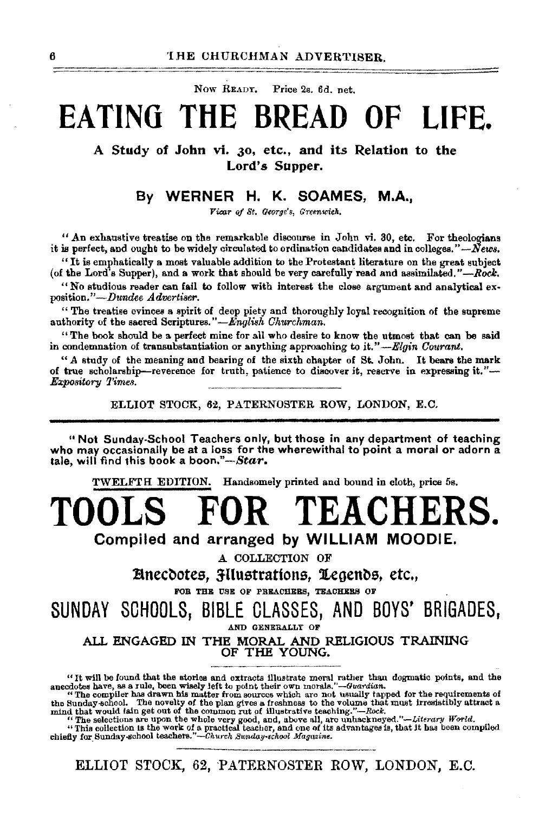Now READY. Price 2s. 6d. net.

# **EATING THE BREAD OF LIFE.**

A Study of John vi. 30, etc., and its Relation to the Lord's Supper.

### By WERNER H. K. SOAMES, M.A.,

*Vicar oj St. George's, Greenwich.* 

"An exhaustive treatise on the remarkable discourse in John vi. 30, etc. For theologians it is perfect, and ought to be widely circulated to ordination candidates and in colleges." $\dot{N}$ ews.

''It is emphatically a moat valuable addition to the Protestant literature on the great subject (of the Lord's Supper), and a work that should be very carefully read and assimilated." *-Rook.* 

"No studious reader can fail to follow with interest the close argument and analytical ex· position."-Dundee *Advertiser.* 

" The treatise evinces a spirit of deep piety and thoroughly loyal recognition of the supreme authority of the sacred Scriptures."-*English Churchman*.

"The book should be a perfect mine for all who desire to know the utmost that can be said in condemnation of transubstantiation or anything approaching to it." *-Elgin Courant.* 

"A study of the meaning and bearing of the sixth chapter of  $St$ , John. It bears the mark of true scholarship-reverence for truth, patience to discover it, reserve in expressing it."-*Expository Times.* 

ELLIOT STOCK, 62, PATERNOSTER ROW, LONDON, E.C.

"Not Sunday·School Teachers only, but those in any department of teaching who may occasionally be at a loss for the wherewithal to point a moral or adorn a tale, will find this book a *boon."--Star.* 

TWELFTH EDITION. Handsomely printed and bound in cloth, price 5s.

**TOOLS FOR TEACHERS.** 

Compiled and arranged by WILLIAM MOODIE.

A COLLECTION OF

Einecdotes, Hilustrations, Legends, etc., Etc., Experience of Preliances, Tragenaus of

SUNDAY SOHOOLS, BIBLE GLASSES, AND BOYS' BRIGADES, AND GENERALLY OF

ALL ENGAGED IN THE MORAL AND RELIGIOUS TRAINING OF THE YOUNG.

<sup>&</sup>quot;It will be found that tho stories and extracts Illustrate mom! rather than dogmatic pointe, and the

anecdotes have, as a rule, been wisely left to point their own morals."—Guardian.<br>
"The complise has drawn his matter from sources which are not usually tapped for the requirements of<br>
the Sunday-school. The novelty of th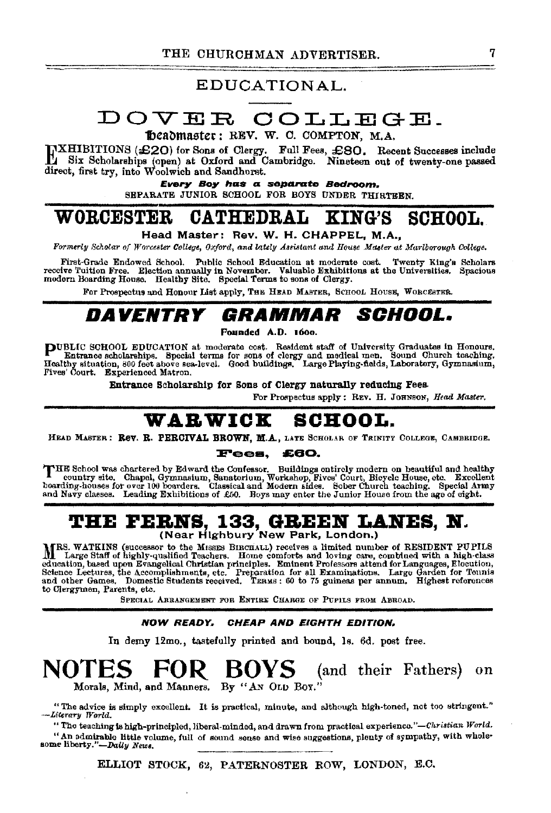### EDUCATIONAL.

# DOVER COLLEGE.

beadmaster: REV. W. C. COMPTON, M.A.

WHIBITIONS (£20) for Sons of Clergy. Full Fees, £80. Recent Successes include Six Scholarships (open) at Oxford and Cambridge. Nineteen out of twenty-one passed direct, first try, into Woolwich and Sandhorst.

Every Boy has a separate Bedroom.

SEPARATE JUNIOR SCHOOL FOR BOYS UNDER THIRTEEN.

#### **WORCESTER CATHEDRAL KING'S SCHOOL.**

Head Master: Rev. W. H. CHAPPEL, M.A.,

Formerly Scholar of Worcester College, Oxford, and lately Assistant and House Master at Mariborough College.

First-Grade Endowed School. Public School Education at moderate cost. Twenty King's Scholars receive Tuition Free. Election annually in November. Valuable Exhibitions at the Universities. Spacious modern Boarding House. He

For Prospectus and Honour List apply, THE HEAD MASTER, SCHOOL HOUSE, WORCESTER.

#### DAVENTRY GRAMMAR *SCHOOL.*

Founded A.D. 1600.

PUBLIC SCHOOL EDUCATION at moderate cost. Resident staff of University Graduates in Honours.<br>Entrance scholarships. Special terms for sons of clergy and medical men. Sound Church teaching.<br>Healthy situation, 800 feet above Fives' Court. Experienced Matron.

Entrance Scholarship for Sons of Clergy naturally reducing Fees.

For Prospectus apply: REV. H. JOHNSON, Head Master.

#### **WARWICK** SCHOOL.

HEAD MASTER: Rev. R. PERCIVAL BROWN, M.A., LATE SCHOLAR OF TRINITY COLLEGE, CAMBRIDGE.

#### Fees. £60.

THE School was chartered by Edward the Confessor. Buildings entirely modern on beautiful and healthy country site. Chapel, Gymnasium, Sanatorium, Workshop, Fives' Court, Bicycle House, etc. Excellent boarding-houses for ov and Navy classes. Leading Exhibitions of £50. Boys may enter the Junior House from the age of eight.

# THE FERNS, 133, GREEN LANES, N.<br>(Near Highbury New Park, London.)

MRS. WATKINS (successor to the MISSES BIRCHALL) receives a limited number of RESIDENT PUPILS<br>M Large Staff of highly-qualified Teachers. Home comforts and loving care, combined with a high-class education, based upon Evangelical Christian principles. Eminent Professors attend for Languages, Electtion, Science Lectures, the Accomplishments, etc. Preparation for all Examinations. Large Garden for Tennis and other Ga to Clergymen, Parents, etc.

SPECIAL ARRANGEMENT FOR ENTIRE CHARGE OF PUPILS FROM ABROAD.

#### NOW READY, CHEAP AND EIGHTH EDITION.

In demy 12mo., tastefully printed and bound, 1s. 6d. post free.

**NOTES** FOR BOYS (and their Fathers) on Morals, Mind, and Manners. By "AN OLD BOY."

"The advice is simply excellent. It is practical, minute, and although high-toned, not too stringent." -Literary World.

"The teaching is high-principled, liberal-minded, and drawn from practical experience."-Christian World. "An admirable little volume, full of sound sense and wise suggestions, plenty of sympathy, with wholesome liberty."-Daily News.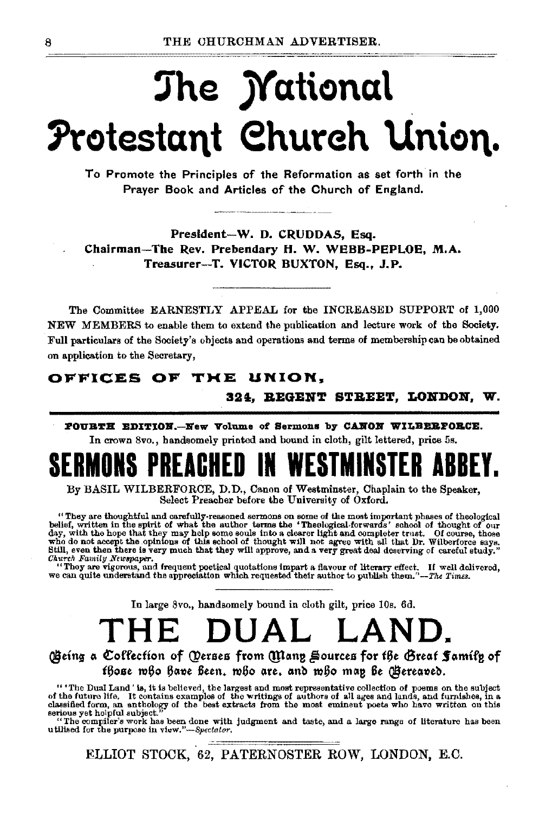# The *M*ational Protestant Church Union.

To Promote the Principles of the Reformation as set forth in the Praver Book and Articles of the Church of England.

President-W. D. CRUDDAS, Esq. Chairman-The Rev. Prebendary H. W. WEBB-PEPLOE, M.A. Treasurer-T. VICTOR BUXTON, Esq., J.P.

The Committee EARNESTLY APPEAL for the INCREASED SUPPORT of 1,000 NEW MEMBERS to enable them to extend the publication and lecture work of the Society. Full particulars of the Society's objects and operations and terms of membership can be obtained on application to the Secretary,

### OFFICES OF THE UNION.

324, REGENT STREET, LONDON, W.

POURTH EDITION.--New Volume of Sermons by CANON WILBERFORCE. In crown 8vo., handsomely printed and bound in cloth, gilt lettered, price 5s.

By BASIL WILBERFORCE, D.D., Canon of Westminster, Chaplain to the Speaker, Select Preacher before the University of Oxford.

"They are thoughtful and carefully-reasoned sermons on some of the most important phases of theological belief, written in the spirit of what the author terms the 'Theological forwards' school of thought of our day, with Church Family Newspaper.

"They are vigorous, and frequent poetical quotations impart a flavour of literary effect. If well delivered, we can quite understand the appreciation which requested their author to publish them."-The Times.

In large 8vo., handsomely bound in cloth gilt, price 10s. 6d.

### THE  $\Delta N D$ **DUAL**

### Geing a Coffection of Oerses from Many Sources for the Great Samily of fhose mho have feen, mho are, and mho man fe (Bereaved.

" 'The Dual Land' is, it is believed, the largest and most representative collection of poems on the subject of the future life. It contains examples of the writings of authors of all ages and lands, and furnishes, in a classified form, an anthology of the best extracts from the most eminent poets who have written on this serious yet helpful subject

"The compiler's work has been done with judgment and taste, and a large range of literature has been utilised for the purpose in view,"-Spectator,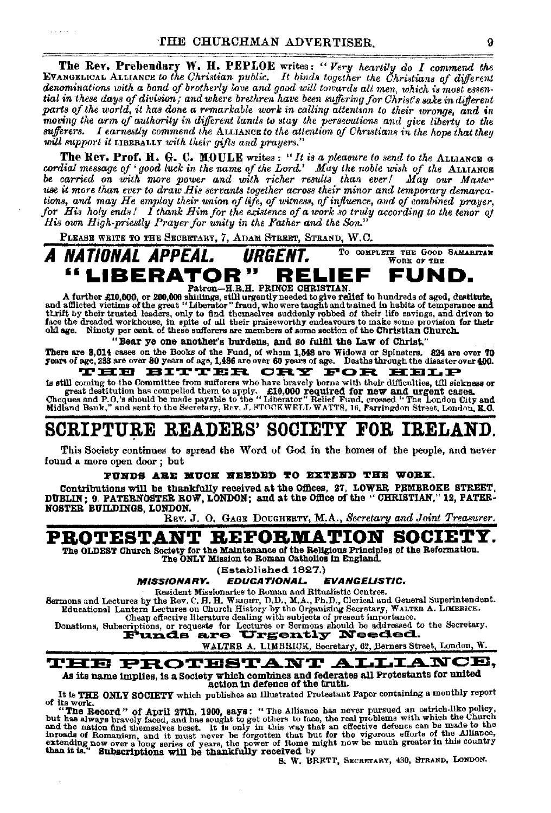The Rev. Prebendary W. H. PEPLOE writes: "Very heartily do I commend the EVANGELICAL ALLIANCE to the Christian public. It binds together the Christians of different denominations with a bond of brotherly love and good will towards all men, which is most essential in these days of division, and where brethren have been suffering for Christ's sake in different parts of the world, it has done a remarkable work in calling attention to their wrongs, and in moving the arm of authority in different lands to stay the persecutions and give liberty to the sufferers. I earnestly commend the ALLIANCE to the attention of Christians in the hope that they will support it LIBRBALLY with their gifts and prayers.'

The Rev. Prof. H. G. C. MOULE writes: "It is a pleasure to send to the ALLIANOR a cordial message of 'good luck in the name of the Lord.' May the noble wish of the ALLIANCE be carried on with more power and with richer results than ever! May our Master use it more than ever to draw His servants together across their minor and temporary demarcations, and may He employ their union of life, of witness, of influence, and of combined prayer, for His holy ends! I thank Him for the existence of a work so truly according to the tenor of His own High-priestly Prayer for unity in the Father and the Son."

PLEASE WRITE TO THE SECRETARY, 7, ADAM STREET, STRAND, W.C.

TO COMPLETE THE GOOD SAMARITAR A NATIONAL APPEAL. **URGENT.** WORK OF THE

#### "LIBERATOR" FUND. RELIEE Patron-H.R.H. PRINCE CHRISTIAN

A further £10,000, or 200,000 shifting, still urgently needed to give relief to hundreds of aged, destitute,<br>and afflicted victims of the great "Liberator" fraud, who were taught and tained in habits of temperance and<br>thri face the dreaded workhouse, in spite of all their praiseworthy endeavours to make some provision for their old age. Nincty per cent. of these sufferers are members of some section of the Christian Church.

### "Bear ye one another's burdens, and so fulfil the Law of Christ.

There are 3.014 cases on the Books of the Fund, of whom 1.548 are Widows or Spinaters. 824 are over 70 years of age, 233 are over 80 years of age, 1,486 are over 60 years of age. Deaths through the diesster over 400.

### THE BITTER CRY FOR HELP

is still coming to the Committee from sufferers who have bravely borne with their difficulties, till sickness or s our contract desired for the way and the existence of the contract desired for the way and desired for the way of the cases.<br>The contract of the cases of the cases of  $P_0$  and the cases of the cases of  $P_0$  and  $P_1$  a

# SCRIPTURE READERS' SOCIETY FOR IRELAND.

This Society continues to spread the Word of God in the homes of the people, and never found a more open door: but

#### FUNDS ARE MUCH NEEDED TO EXTEND THE WORK.

Contributions will be thankfully received at the Offices. 27. LOWER PEMBROKE STREET, DUBLIN; 9 PATERNOSTER ROW, LONDON; and at the Office of the "CHRISTIAN," 12. PATER-NOSTER BUILDINGS, LONDON.

REV. J. O. GAGE DOUGHERTY, M.A., Secretary and Joint Treasurer.

## PROTESTANT REPORMATION SOCIET

The OLDEST Church Society for the Maintenance of the Religious Principles of the Reformation. The ONLY Mission to Roman Catholics in England.

(Established 1827.)

**EDUCATIONAL. EVANGELISTIC. MISSIONARY.** 

Resident Missionaries to Roman and Ritualistic Centres.

Sermons and Lectures by the Rev. C. H. H. WRIGHT, D. D., M.A., Ph.D., Clerical and General Superintendent.<br>Educational Lantern Lectures on Church History by the Organizing Secretary, WALTER A. LIMBRICK.

Donations, Subscriptions, or requests for Lectures or Sermons should be addressed to the Secretary.<br>Donations, Subscriptions, or requests for Lectures or Sermons should be addressed to the Secretary.

WALTER A. LIMBRICK, Secretary, 62, Berners Street, London, W.

#### **THE PROTESTANT ALLIA** NCE. As its name implies, is a Society which combines and federates all Protestants for united

action in defence of the truth.

It is THE ONLY SOCIETY which publishes an Illustrated Protestant Paper containing a monthly report

It is THE UNLY SUCHETY WHICH publishes and concernent and the salways of its work. "The Record" of April 27th, 1900, says: "The Alliance has never pursued an ostrich-like policy, "The Record" forcel, and has sought to get

B. W. BRETT, SECRETARY, 430, STRAND, LONDON.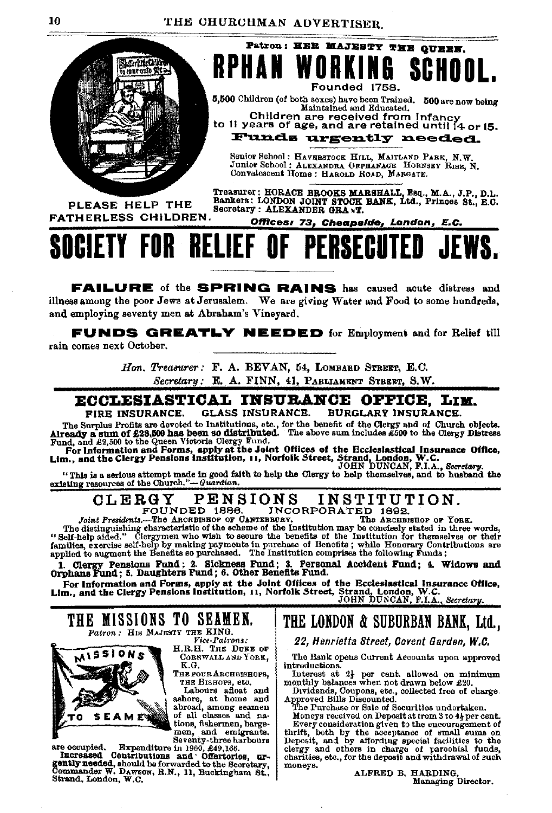

**RPHAN WOR** SR HI l 6 Founded 1758. 5,500 Children (of both sexes) have been Trained. 500 are now being

Patron: HER MAJESTY THE QUEEN.

Maintained and Educated. Children are received from Infancy to 11 years of age, and are retained until 14 or 15.

Funds urgently needed.

Senior School: HAVERSTOCK HILL, MAITLAND PARK, N.W. Junior School: ALEXANDRA ORPHANAGE HORNSEY RISE, N. Convalescent Home: HAROLD ROAD, MARGATE.

PLEASE HELP THE **FATHERLESS CHILDREN.** 

Treasurer: HORACE BROOKS MARSHALL, Esq., M.A., J.P., D.L.<br>Bankers: LONDON JOINT STOOK BANK, Ltd., Princes St., E.C.<br>Secretary : ALEXANDER GRANT.

Offices: 73, Cheapside, London, E.C.

### **SOCIETY FOR RELIEF O** PERSECI

**FAILURE** of the **SPRING RAINS** has caused acute distress and illness among the poor Jews at Jerusalem. We are giving Water and Food to some hundreds, and employing seventy men at Abraham's Vineyard.

**FUNDS GREATLY NEEDED** for Employment and for Relief till rain comes next October.

> Hon. Treasurer: F. A. BEVAN, 54, LOMBARD STREET, E.C. Secretary: E. A. FINN, 41, PABLIAMENT STBERT, S.W.

### ECCLESIASTICAL INSURANCE OFFICE. LIM.

FIRE INSURANCE. **GLASS INSURANCE. BURGLARY INSURANCE.** 

The Survey of the Barry and the Christmas and the Maritimes. The Survey and of Church objects.<br>The Survey and the Christmas of the Survey and the Christmas Fund, and £2,500 bas been 90 of state includes 2500 to the Christm

"This is a serious attempt made in good faith to help the Clergy to help themselves, and to husband the existing resources of the Church."-Guardian.

#### INSTITUTION. CLERGY **PENSIONS** INCORPORATED 1892.<br>BRUET. The ARCHESHOP OF YORK. FOUNDED 1886.

Joint Presidents.-The ARCHBISHOP OF CANTERBURY.

The distinguishing characteristic of the scheme of the Institution may be concisely stated in three words, "Helf distinguishing characteristic of the scheme of the Institution may be concisely stated in three words, "Self-

1. Clergy Pensions Fund; 2. Sickness Fund; 3. Personal Accident Fund; 4. Widows and Orphans Fund; 5. Daughters Fund; 6. Other Benefits Fund.

Or Unidate 3 cases when the Solid Offices of the Ecclesiastical Insurance Office,<br>For Information and Forms, apply at the Joint Offices of the Ecclesiastical Insurance Office,<br>Lim., and the Clergy Pensions Institution, 11,





Vice-Pairons:<br>H.R.H. THE DUKE OF CORNWALL AND YORK, K.G.

THE FOUR ARCHBISHOPS, THE BISHOPS, etc.

Labours afloat and<br>ashore, at home and<br>abroad, among seamen<br>of all classes and nations, fishermen, barge-

men, and emigrants.<br>Seventy-three harbours

are occupied. Expenditure in 1900, £49,166.<br>Increased Contributions and Offertories, urgently needed, should bo forwarded to the Secretary,<br>Commander W. Dawson, R.N., 11, Buckingham St.,<br>Strand, London, W.C.

# THE LONDON & SUBURBAN BANK, Ltd.,

22, Henrietta Street, Covent Garden, W.C.

The Bank opens Current Accounts upon approved introductions

Interest at  $2\frac{1}{2}$  per cent. allowed on minimum monthly balances when not drawn below £20.

Dividends, Coupons, etc., collected free of charge. Approved Bills Discounted.<br>The Purchase or Sale of Securities undertaken.

Moneys received on Deposit at from 3 to 4} per cent. moneys research of the model and the model of the second several control of the second several of the second several of the second several series of the second several series of the electron of the second series of the sec moneys.

ALFRED B. HARDING, Managing Director.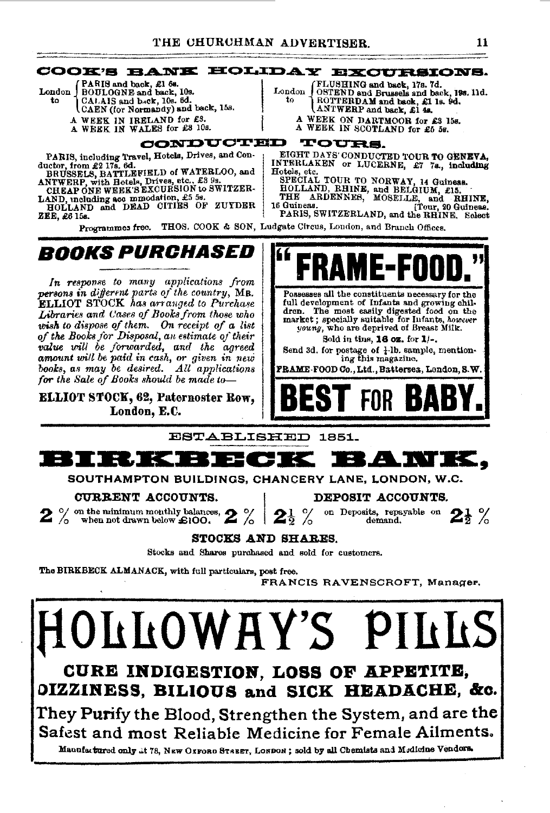